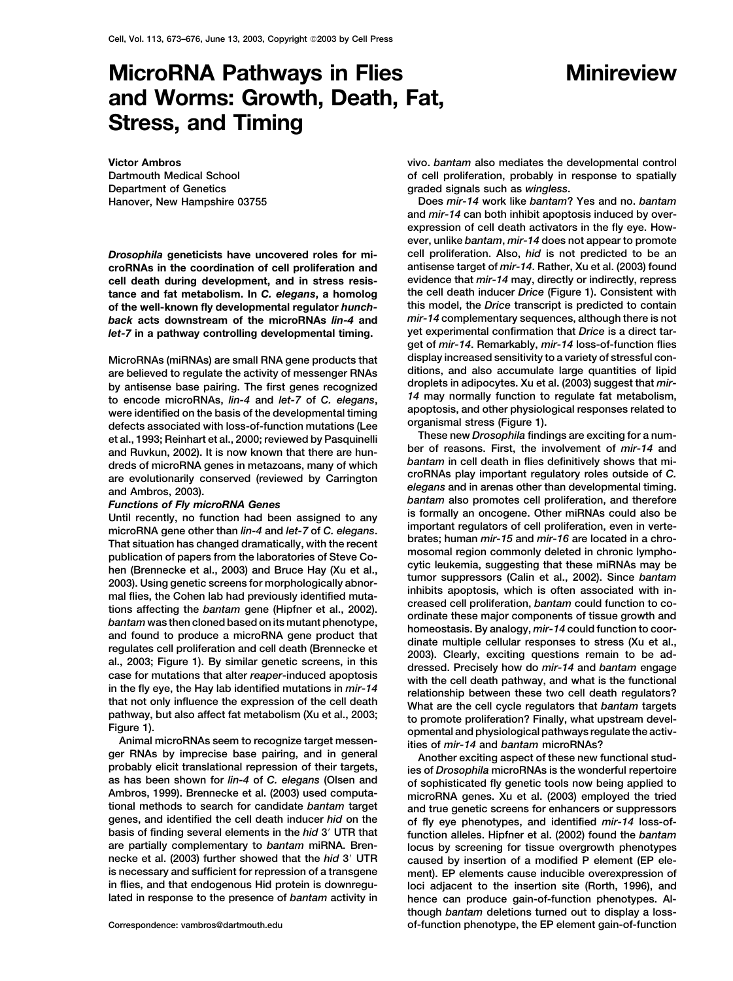# **MicroRNA Pathways in Flies Minireview and Worms: Growth, Death, Fat, Stress, and Timing**

**Victor Ambros Dartmouth Medical School Department of Genetics Hanover, New Hampshire 03755**

*let-7* in a pathway controlling developmental timing.

*14* **may normally function to regulate fat metabolism, to encode microRNAs,** *lin-4* **and** *let-7* **of** *C. elegans***,**

ger RNAs by imprecise base pairing, and in general another exciting aspect of these new functional stud-<br>probably elicit translational repression of their targets,<br>as has been shown for *lin-4* of C. elegans (Olsen and ano

**vivo.** *bantam* **also mediates the developmental control of cell proliferation, probably in response to spatially graded signals such as** *wingless***.**

**Does** *mir-14* **work like** *bantam***? Yes and no.** *bantam* **and** *mir-14* **can both inhibit apoptosis induced by overexpression of cell death activators in the fly eye. However, unlike** *bantam***,** *mir-14* **does not appear to promote** *Drosophila* **geneticists have uncovered roles for mi- cell proliferation. Also,** *hid* **is not predicted to be an croRNAs in the coordination of cell proliferation and antisense target of** *mir-14***. Rather, Xu et al. (2003) found cell death during development, and in stress resis- evidence that** *mir-14* **may, directly or indirectly, repress tance and fat metabolism. In** *C. elegans***, a homolog the cell death inducer** *Drice* **(Figure 1). Consistent with of the well-known fly developmental regulator** *hunch-* **this model, the** *Drice* **transcript is predicted to contain** *back* **acts** downstream of the microRNAs *lin-4* and *mir-14* complementary sequences, although there is not *let-7* in a pathway controlling developmental timing. yet experimental confirmation that *Drice* is a direct ta **get of** *mir-14***. Remarkably,** *mir-14* **loss-of-function flies MicroRNAs (miRNAs) are small RNA gene products that display increased sensitivity to a variety of stressful con**are believed to regulate the activity of messenger RNAs<br>by antisense base pairing. The first genes recognized<br>to encode microRNAs *lin-4* and let-7 of C elegans 14 may normally function to regulate fat metabolism, **were identified on the basis of the developmental timing apoptosis, and other physiological responses related to**

detects associated with loss-of-thunction mutations (i.ee)<br>et al., 1993; Reinhart et al., 2003; reviewed by Pasquinelli These new *Drosophila* findings are exciting for a num-<br>and Ruvkun, 2002). It is now known that there

**tional methods to search for candidate** *bantam* **target and true genetic screens for enhancers or suppressors genes, and identified the cell death inducer** *hid* **on the of fly eye phenotypes, and identified** *mir-14* **loss-of**function alleles. Hipfner et al. (2002) found the *bantam* **are partially complementary to** *bantam* **miRNA. Bren- locus by screening for tissue overgrowth phenotypes necke et al. (2003) further showed that the** *hid* **3 UTR caused by insertion of a modified P element (EP ele**ment). EP elements cause inducible overexpression of **in flies, and that endogenous Hid protein is downregu- loci adjacent to the insertion site (Rorth, 1996), and lated in response to the presence of** *bantam* **activity in hence can produce gain-of-function phenotypes. Although** *bantam* **deletions turned out to display a loss-Correspondence: vambros@dartmouth.edu of-function phenotype, the EP element gain-of-function**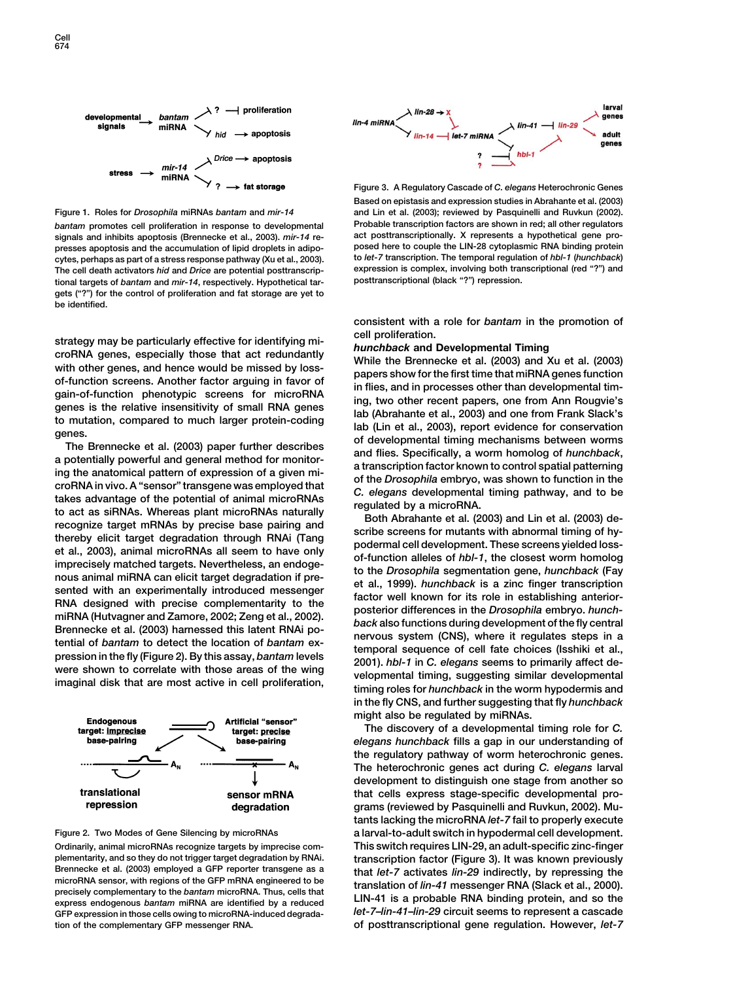



signals and inhibits apoptosis (Brennecke et al., 2003). *mir-14* re**presses apoptosis and the accumulation of lipid droplets in adipo- posed here to couple the LIN-28 cytoplasmic RNA binding protein cytes, perhaps as part of a stress response pathway (Xu et al., 2003). to** *let-7* **transcription. The temporal regulation of** *hbl-1* **(***hunchback***)** The cell death activators *hid* and *Drice* are potential posttranscrip-<br>
tional targets of *bantam* and *mir-14*, respectively. Hypothetical tar-<br>
posttranscriptional (black "?") repression. tional targets of *bantam* and *mir-14*, respectively. Hypothetical tar**gets ("?") for the control of proliferation and fat storage are yet to be identified.**

strategy may be particularly effective for identifying mi-<br>
corrollNA genes, a colleality throse that act eduturality<br>
with other genes, and hence would be missed by loss-<br>
with other genes, and hence would be missed by lo





**plementarity, and so they do not trigger target degradation by RNAi. transcription factor (Figure 3). It was known previously** Brennecke et al. (2003) employed a GFP reporter transgene as a<br>microRNA sensor, with regions of the GFP mRNA engineered to be<br>precisely complementary to the *bantam* microRNA. Thus, cells that<br>express endogenous *bantam* m **GFP expression in those cells owing to microRNA-induced degrada-** *let-7***–***lin-41***–***lin-29* **circuit seems to represent a cascade**



**Figure 3. A Regulatory Cascade of** *C. elegans* **Heterochronic Genes Based on epistasis and expression studies in Abrahante et al. (2003) Figure 1. Roles for** *Drosophila* **miRNAs** *bantam* **and** *mir-14* **and Lin et al. (2003); reviewed by Pasquinelli and Ruvkun (2002).** *bantam* **promotes cell proliferation in response to developmental Probable transcription factors are shown in red; all other regulators**

**consistent with a role for** *bantam* **in the promotion of**

**in the fly CNS, and further suggesting that fly** *hunchback* **might also be regulated by miRNAs.**

**The discovery of a developmental timing role for** *C. elegans hunchback* **fills a gap in our understanding of the regulatory pathway of worm heterochronic genes. The heterochronic genes act during** *C. elegans* **larval development to distinguish one stage from another so that cells express stage-specific developmental programs (reviewed by Pasquinelli and Ruvkun, 2002). Mutants lacking the microRNA** *let-7* **fail to properly execute Figure 2. Two Modes of Gene Silencing by microRNAs a larval-to-adult switch in hypodermal cell development. Ordinarily, animal microRNAs recognize targets by imprecise com- This switch requires LIN-29, an adult-specific zinc-finger tion of the complementary GFP messenger RNA. of posttranscriptional gene regulation. However,** *let-7*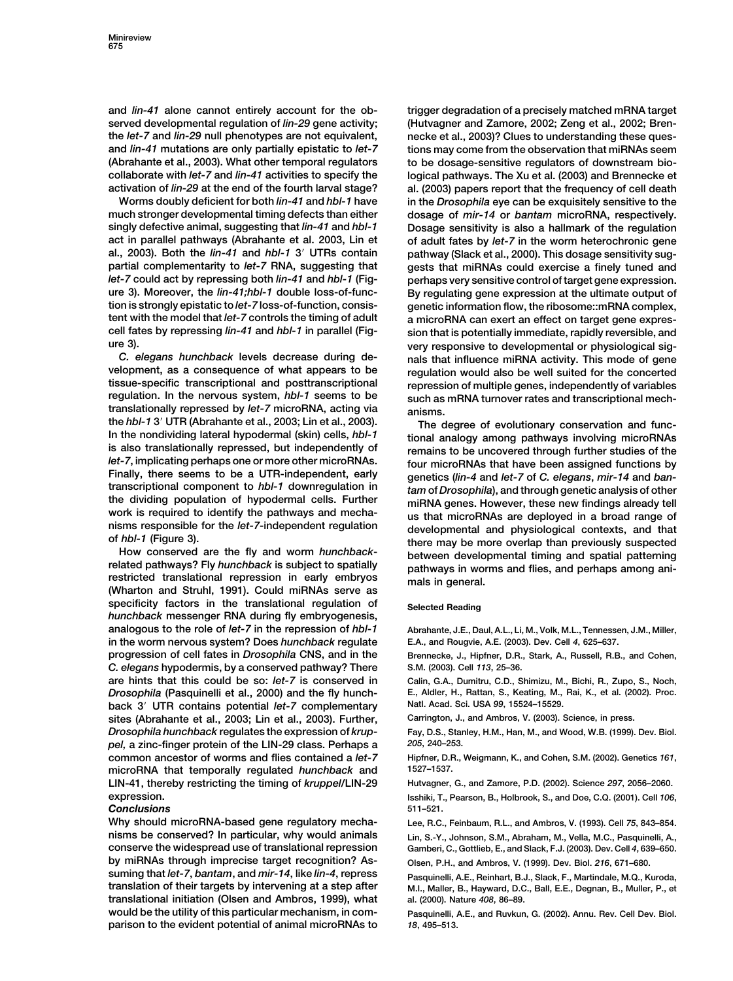**and** *lin-41* **alone cannot entirely account for the ob- trigger degradation of a precisely matched mRNA target served developmental regulation of** *lin-29* **gene activity; (Hutvagner and Zamore, 2002; Zeng et al., 2002; Brenthe** *let-7* **and** *lin-29* **null phenotypes are not equivalent, necke et al., 2003)? Clues to understanding these quesand** *lin-41* **mutations are only partially epistatic to** *let-7* **tions may come from the observation that miRNAs seem (Abrahante et al., 2003). What other temporal regulators to be dosage-sensitive regulators of downstream biocollaborate with** *let-7* **and** *lin-41* **activities to specify the logical pathways. The Xu et al. (2003) and Brennecke et**

**much stronger developmental timing defects than either dosage of** *mir-14* **or** *bantam* **microRNA, respectively. singly defective animal, suggesting that** *lin-41* **and** *hbl-1* **Dosage sensitivity is also a hallmark of the regulation act in parallel pathways (Abrahante et al. 2003, Lin et of adult fates by** *let-7* **in the worm heterochronic gene partial complementarity to** *let-7* **RNA, suggesting that gests that miRNAs could exercise a finely tuned and** *let-7* **could act by repressing both** *lin-41* **and** *hbl-1* **(Fig- perhaps very sensitive control of target gene expression. ure 3). Moreover, the** *lin-41;hbl-1* **double loss-of-func- By regulating gene expression at the ultimate output of tion is strongly epistatic to** *let-7* **loss-of-function, consis- genetic information flow, the ribosome::mRNA complex, tent with the model that** *let-7* **controls the timing of adult a microRNA can exert an effect on target gene exprescell fates by repressing** *lin-41* **and** *hbl-1* **in parallel (Fig- sion that is potentially immediate, rapidly reversible, and**

*C. elegans hunchback* levels decrease during de-<br>velopment, as a consequence of what appears to be<br>requilation would also be well suited for the concerted **velopment, as a consequence of what appears to be regulation would also be well suited for the concerted tissue-specific transcriptional and posttranscriptional repression of multiple genes, independently of variables translationally repressed by** *let-7* **microRNA, acting via anisms. the** *hbl-1* **3 UTR (Abrahante et al., 2003; Lin et al., 2003). The degree of evolutionary conservation and func-In the nondividing lateral hypodermal (skin) cells,** *hbl-1* **tional analogy among pathways involving microRNAs** is also translationally repressed, but independently of  $let$ -7, implicating perhaps one or more other microRNAs.<br>
Finally, there seems to be a UTR-independent, early  $let$ -7 of C. elegans, mir-14 and ban-<br>
transcriptional co

**specificity factors in the translational regulation of Selected Reading** *hunchback* **messenger RNA during fly embryogenesis, analogous to the role of** *let-7* **in the repression of** *hbl-1* **Abrahante, J.E., Daul, A.L., Li, M., Volk, M.L., Tennessen, J.M., Miller, in the worm nervous system? Does** *hunchback* **regulate E.A., and Rougvie, A.E. (2003). Dev. Cell** *4***, 625–637. progression of cell fates in** *Drosophila* **CNS, and in the Brennecke, J., Hipfner, D.R., Stark, A., Russell, R.B., and Cohen,** *C. elegans* **hypodermis, by a conserved pathway? There S.M. (2003). Cell** *113***, 25–36. are hints that this could be so:** *let-7* **is conserved in Calin, G.A., Dumitru, C.D., Shimizu, M., Bichi, R., Zupo, S., Noch,** *Drosophila* **(Pasquinelli et al., 2000) and the fly hunch- E., Aldler, H., Rattan, S., Keating, M., Rai, K., et al. (2002). Proc. back 3<sup>'</sup> UTR contains potential** *let-7* **complementary sites (Abrahante et al., 2003; Lin et al., 2003). Further, Carrington, J., and Ambros, V. (2003). Science, in press.** *Drosophila hunchback* **regulates the expression of** *krup-* **Fay, D.S., Stanley, H.M., Han, M., and Wood, W.B. (1999). Dev. Biol.** *pel,* **a zinc-finger protein of the LIN-29 class. Perhaps a** *205***, 240–253. common ancestor of worms and flies contained a** *let-7* **Hipfner, D.R., Weigmann, K., and Cohen, S.M. (2002). Genetics** *161***, microRNA that temporally regulated** *hunchback* **and 1527–1537. LIN-41, thereby restricting the timing of** *kruppel***/LIN-29 Hutvagner, G., and Zamore, P.D. (2002). Science** *297***, 2056–2060. expression. Isshiki, T., Pearson, B., Holbrook, S., and Doe, C.Q. (2001). Cell** *106***,**

## *Conclusions* **511–521.**

**Why should microRNA-based gene regulatory mecha- Lee, R.C., Feinbaum, R.L., and Ambros, V. (1993). Cell** *75***, 843–854. nisms be conserved? In particular, why would animals Lin, S.-Y., Johnson, S.M., Abraham, M., Vella, M.C., Pasquinelli, A., conserve the widespread use of translational repression Gamberi, C., Gottlieb, E., and Slack, F.J. (2003). Dev. Cell** *4***, 639–650. by miRNAs through imprecise target recognition? As- Olsen, P.H., and Ambros, V. (1999). Dev. Biol.** *216***, 671–680. suming that** *let-7***,** *bantam***, and** *mir-14***, like** *lin-4***, repress Pasquinelli, A.E., Reinhart, B.J., Slack, F., Martindale, M.Q., Kuroda, translational initiation (Olsen and Ambros, 1999), what al. (2000). Nature** *408***, 86–89. would be the utility of this particular mechanism, in com- Pasquinelli, A.E., and Ruvkun, G. (2002). Annu. Rev. Cell Dev. Biol. parison to the evident potential of animal microRNAs to** *18***, 495–513.**

**activation of** *lin-29* **at the end of the fourth larval stage? al. (2003) papers report that the frequency of cell death Worms doubly deficient for both** *lin-41* **and** *hbl-1* **have in the** *Drosophila* **eye can be exquisitely sensitive to the** pathway (Slack et al., 2000). This dosage sensitivity sug**ure 3). very responsive to developmental or physiological sig**such as mRNA turnover rates and transcriptional mech-

transcriptional component to *hbl-1* downregulation in<br>tam of *Drosophila*), and through genetic analysis of other<br>the dividing population of hypodermal cells. Further<br>work is required to identify the pathways and mecha-<br>n

**translation of their targets by intervening at a step after M.I., Maller, B., Hayward, D.C., Ball, E.E., Degnan, B., Muller, P., et**